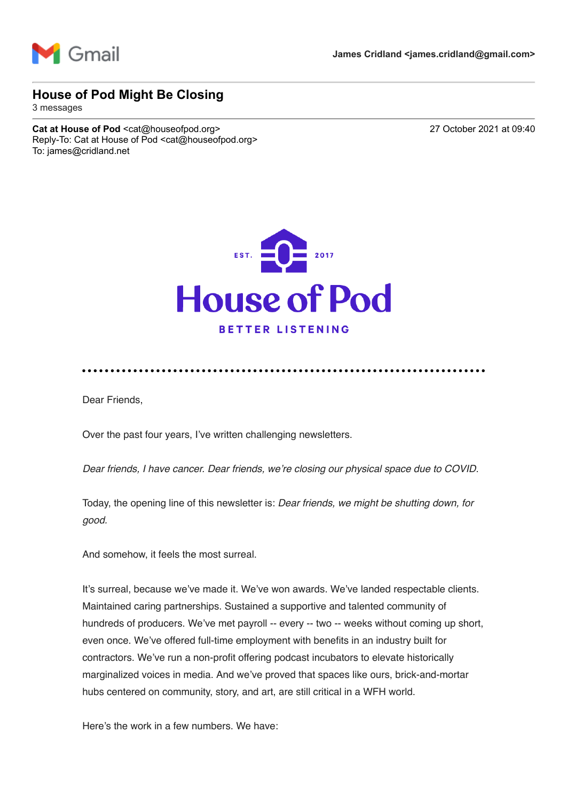

## **House of Pod Might Be Closing**

3 messages

Cat at House of Pod <cat@houseofpod.org> 27 October 2021 at 09:40 Reply-To: Cat at House of Pod <cat@houseofpod.org> To: james@cridland.net



Dear Friends,

Over the past four years, I've written challenging newsletters.

*Dear friends, I have cancer. Dear friends, we're closing our physical space due to COVID.* 

Today, the opening line of this newsletter is: *Dear friends, we might be shutting down, for good.*

And somehow, it feels the most surreal.

It's surreal, because we've made it. We've won awards. We've landed respectable clients. Maintained caring partnerships. Sustained a supportive and talented community of hundreds of producers. We've met payroll -- every -- two -- weeks without coming up short, even once. We've offered full-time employment with benefits in an industry built for contractors. We've run a non-profit offering podcast incubators to elevate historically marginalized voices in media. And we've proved that spaces like ours, brick-and-mortar hubs centered on community, story, and art, are still critical in a WFH world.

Here's the work in a few numbers. We have: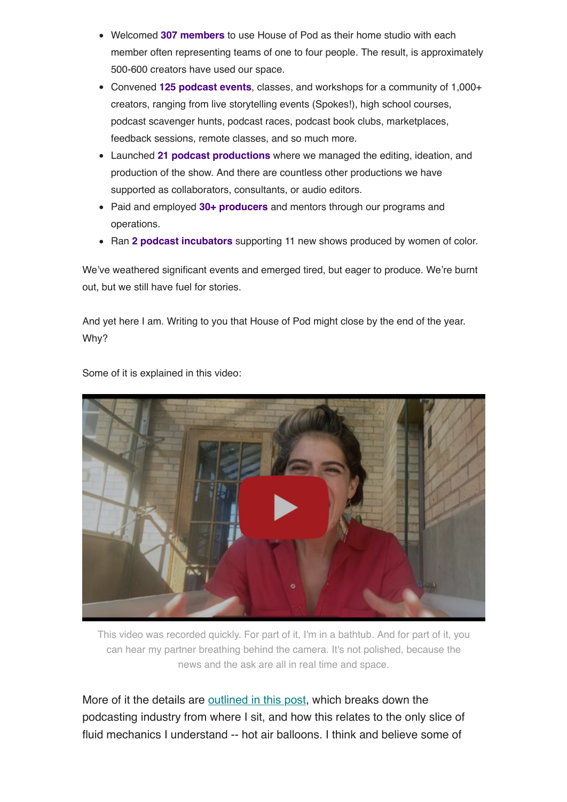- Welcomed **307 members** to use House of Pod as their home studio with each member often representing teams of one to four people. The result, is approximately 500-600 creators have used our space.
- Convened **125 podcast events**, classes, and workshops for a community of 1,000+ creators, ranging from live storytelling events (Spokes!), high school courses, podcast scavenger hunts, podcast races, podcast book clubs, marketplaces, feedback sessions, remote classes, and so much more.
- Launched **21 podcast productions** where we managed the editing, ideation, and production of the show. And there are countless other productions we have supported as collaborators, consultants, or audio editors.
- Paid and employed **30+ producers** and mentors through our programs and operations.
- Ran 2 podcast incubators supporting 11 new shows produced by women of color.

We've weathered significant events and emerged tired, but eager to produce. We're burnt out, but we still have fuel for stories.

And yet here I am. Writing to you that House of Pod might close by the end of the year. Why?



Some of it is explained in this video:

This video was recorded quickly. For part of it, I'm in a bathtub. And for part of it, you can hear my partner breathing behind the camera. It's not polished, because the news and the ask are all in real time and space.

More of it the details are [outlined in this post](https://houseofpod.us16.list-manage.com/track/click?u=6484e6bf1389115c8199cf1ef&id=48314fbc21&e=6a092cf717), which breaks down the podcasting industry from where I sit, and how this relates to the only slice of fluid mechanics I understand -- hot air balloons. I think and believe some of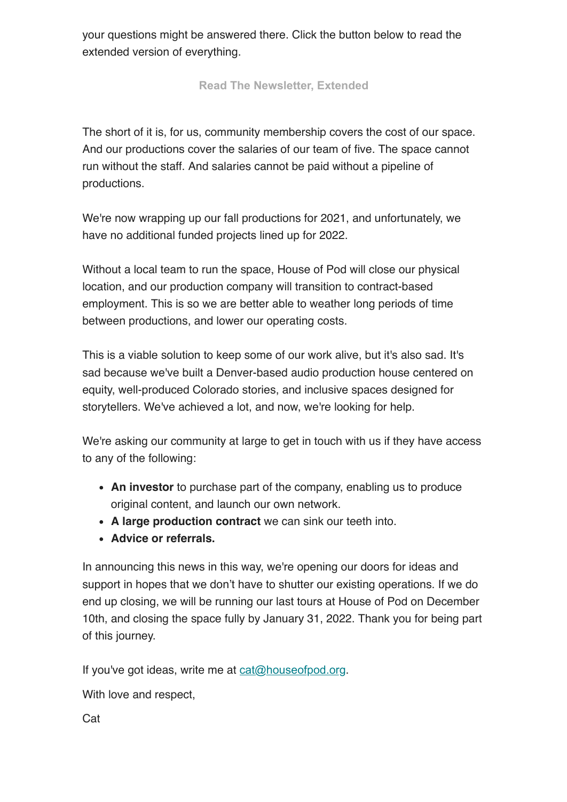your questions might be answered there. Click the button below to read the extended version of everything.

**[Read The Newsletter, Extended](https://houseofpod.us16.list-manage.com/track/click?u=6484e6bf1389115c8199cf1ef&id=7d56126129&e=6a092cf717)**

The short of it is, for us, community membership covers the cost of our space. And our productions cover the salaries of our team of five. The space cannot run without the staff. And salaries cannot be paid without a pipeline of productions.

We're now wrapping up our fall productions for 2021, and unfortunately, we have no additional funded projects lined up for 2022.

Without a local team to run the space, House of Pod will close our physical location, and our production company will transition to contract-based employment. This is so we are better able to weather long periods of time between productions, and lower our operating costs.

This is a viable solution to keep some of our work alive, but it's also sad. It's sad because we've built a Denver-based audio production house centered on equity, well-produced Colorado stories, and inclusive spaces designed for storytellers. We've achieved a lot, and now, we're looking for help.

We're asking our community at large to get in touch with us if they have access to any of the following:

- **An investor** to purchase part of the company, enabling us to produce original content, and launch our own network.
- **A large production contract** we can sink our teeth into.
- **Advice or referrals.**

In announcing this news in this way, we're opening our doors for ideas and support in hopes that we don't have to shutter our existing operations. If we do end up closing, we will be running our last tours at House of Pod on December 10th, and closing the space fully by January 31, 2022. Thank you for being part of this journey.

If you've got ideas, write me at [cat@houseofpod.org](mailto:CAT@HOUSEOFPOD.ORG).

With love and respect,

Cat